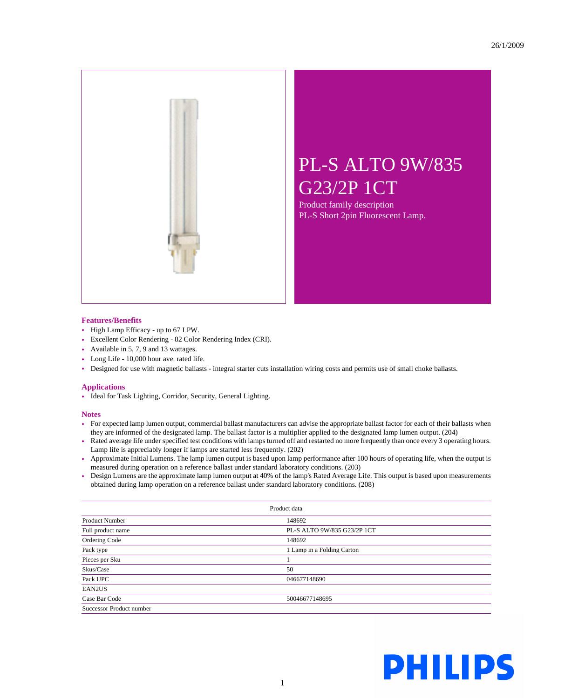

## PL-S ALTO 9W/835 G23/2P 1CT

Product family description PL-S Short 2pin Fluorescent Lamp.

## **Features/Benefits**

- High Lamp Efficacy up to 67 LPW.
- Excellent Color Rendering 82 Color Rendering Index (CRI).
- Available in 5, 7, 9 and 13 wattages.
- Long Life 10,000 hour ave. rated life.
- Designed for use with magnetic ballasts integral starter cuts installation wiring costs and permits use of small choke ballasts.

## **Applications**

• Ideal for Task Lighting, Corridor, Security, General Lighting.

## **Notes**

- For expected lamp lumen output, commercial ballast manufacturers can advise the appropriate ballast factor for each of their ballasts when they are informed of the designated lamp. The ballast factor is a multiplier applied to the designated lamp lumen output. (204)
- Rated average life under specified test conditions with lamps turned off and restarted no more frequently than once every 3 operating hours. Lamp life is appreciably longer if lamps are started less frequently. (202)
- Approximate Initial Lumens. The lamp lumen output is based upon lamp performance after 100 hours of operating life, when the output is measured during operation on a reference ballast under standard laboratory conditions. (203)
- Design Lumens are the approximate lamp lumen output at 40% of the lamp's Rated Average Life. This output is based upon measurements obtained during lamp operation on a reference ballast under standard laboratory conditions. (208)

| Product data             |                             |  |
|--------------------------|-----------------------------|--|
| <b>Product Number</b>    | 148692                      |  |
| Full product name        | PL-S ALTO 9W/835 G23/2P 1CT |  |
| Ordering Code            | 148692                      |  |
| Pack type                | 1 Lamp in a Folding Carton  |  |
| Pieces per Sku           |                             |  |
| Skus/Case                | 50                          |  |
| Pack UPC                 | 046677148690                |  |
| EAN2US                   |                             |  |
| Case Bar Code            | 50046677148695              |  |
| Successor Product number |                             |  |

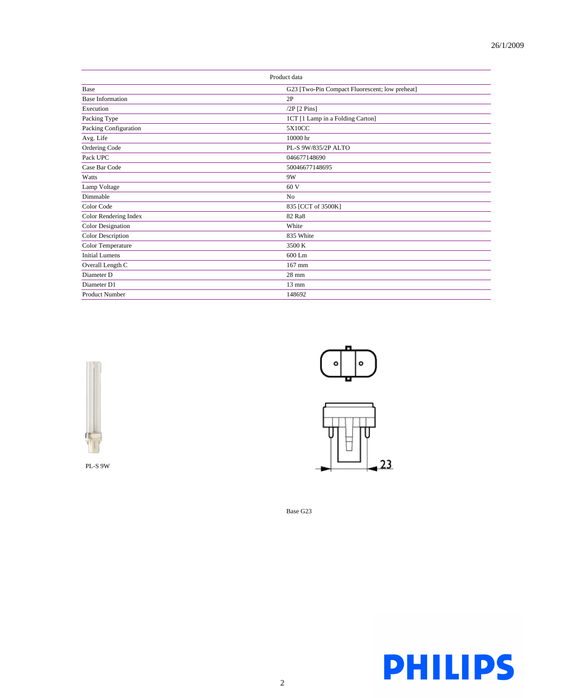| Product data             |                                                |
|--------------------------|------------------------------------------------|
| Base                     | G23 [Two-Pin Compact Fluorescent; low preheat] |
| <b>Base Information</b>  | 2P                                             |
| Execution                | $/2P$ [2 Pins]                                 |
| Packing Type             | 1CT [1 Lamp in a Folding Carton]               |
| Packing Configuration    | 5X10CC                                         |
| Avg. Life                | 10000 hr                                       |
| Ordering Code            | PL-S 9W/835/2P ALTO                            |
| Pack UPC                 | 046677148690                                   |
| Case Bar Code            | 50046677148695                                 |
| Watts                    | 9W                                             |
| Lamp Voltage             | 60 V                                           |
| Dimmable                 | N <sub>0</sub>                                 |
| Color Code               | 835 [CCT of 3500K]                             |
| Color Rendering Index    | 82 Ra8                                         |
| <b>Color Designation</b> | White                                          |
| <b>Color Description</b> | 835 White                                      |
| Color Temperature        | 3500 K                                         |
| <b>Initial Lumens</b>    | 600 Lm                                         |
| Overall Length C         | 167 mm                                         |
| Diameter D               | $28 \text{ mm}$                                |
| Diameter D1              | $13 \text{ mm}$                                |
| <b>Product Number</b>    | 148692                                         |



PL-S 9W





Base G23